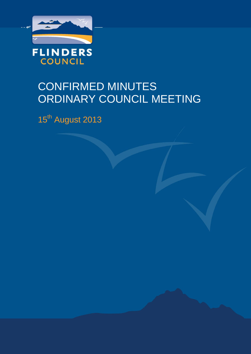

# CONFIRMED MINUTES ORDINARY COUNCIL MEETING

15<sup>th</sup> August 2013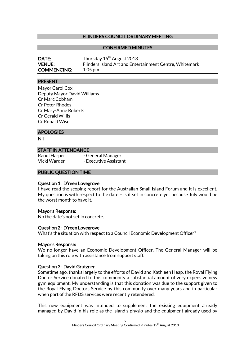#### FLINDERS COUNCIL ORDINARY MEETING

#### CONFIRMED MINUTES

| <b>DATE:</b>       | Thursday 15 <sup>th</sup> August 2013                   |
|--------------------|---------------------------------------------------------|
| <b>VENUE:</b>      | Flinders Island Art and Entertainment Centre, Whitemark |
| <b>COMMENCING:</b> | 1.05 pm                                                 |

#### **PRESENT**

Mayor Carol Cox Deputy Mayor David Williams Cr Marc Cobham Cr Peter Rhodes Cr Mary-Anne Roberts Cr Gerald Willis Cr Ronald Wise

#### APOLOGIES

Nil

#### STAFF IN ATTENDANCE

Raoul Harper - General Manager Vicki Warden - Executive Assistant

#### PUBLIC QUESTION TIME

#### Question 1: D'reen Lovegrove

I have read the scoping report for the Australian Small Island Forum and it is excellent. My question is with respect to the date – is it set in concrete yet because July would be the worst month to have it.

#### Mayor's Response:

No the date's not set in concrete.

#### Question 2: D'reen Lovegrove

What's the situation with respect to a Council Economic Development Officer?

#### Mayor's Response:

We no longer have an Economic Development Officer. The General Manager will be taking on this role with assistance from support staff.

#### Question 3: David Grutzner

Sometime ago, thanks largely to the efforts of David and Kathleen Heap, the Royal Flying Doctor Service donated to this community a substantial amount of very expensive new gym equipment. My understanding is that this donation was due to the support given to the Royal Flying Doctors Service by this community over many years and in particular when part of the RFDS services were recently retendered.

This new equipment was intended to supplement the existing equipment already managed by David in his role as the Island's physio and the equipment already used by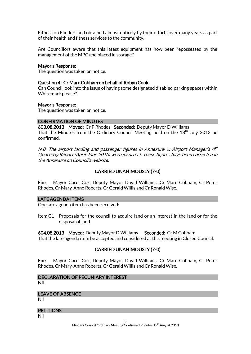Fitness on Flinders and obtained almost entirely by their efforts over many years as part of their health and fitness services to the community.

Are Councillors aware that this latest equipment has now been repossessed by the management of the MPC and placed in storage?

#### Mayor's Response:

The question was taken on notice.

#### Question 4: Cr Marc Cobham on behalf of Robyn Cook

Can Council look into the issue of having some designated disabled parking spaces within Whitemark please?

#### Mayor's Response:

The question was taken on notice.

#### CONFIRMATION OF MINUTES

603.08.2013 Moved: Cr P Rhodes Seconded: Deputy Mayor D Williams That the Minutes from the Ordinary Council Meeting held on the  $18<sup>th</sup>$  July 2013 be confirmed.

N.B. The airport landing and passenger figures in Annexure 6: Airport Manager's  $4^{th}$ Quarterly Report (April-June 2013) were incorrect. These figures have been corrected in the Annexure on Council's website.

#### CARRIED UNANIMOUSLY (7-0)

For: Mayor Carol Cox, Deputy Mayor David Williams, Cr Marc Cobham, Cr Peter Rhodes, Cr Mary-Anne Roberts, Cr Gerald Willis and Cr Ronald Wise.

#### LATE AGENDA ITEMS

One late agenda item has been received:

Item C1 Proposals for the council to acquire land or an interest in the land or for the disposal of land

604.08.2013 Moved: Deputy Mayor D Williams Seconded: Cr M Cobham That the late agenda item be accepted and considered at this meeting in Closed Council.

#### CARRIED UNANIMOUSLY (7-0)

For: Mayor Carol Cox, Deputy Mayor David Williams, Cr Marc Cobham, Cr Peter Rhodes, Cr Mary-Anne Roberts, Cr Gerald Willis and Cr Ronald Wise.

#### DECLARATION OF PECUNIARY INTEREST

Nil

#### LEAVE OF ABSENCE

Nil

#### **PETITIONS**

Nil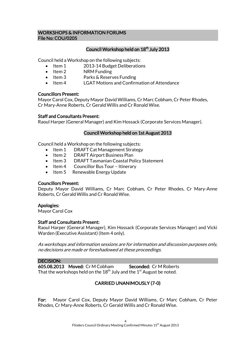#### WORKSHOPS & INFORMATION FORUMS File No: COU/0205

#### Council Workshop held on 18<sup>th</sup> July 2013

Council held a Workshop on the following subjects:

- Item 1 2013-14 Budget Deliberations
- Item 2 NRM Funding
- Item 3 Parks & Reserves Funding
- Item 4 LGAT Motions and Confirmation of Attendance

#### Councillors Present:

Mayor Carol Cox, Deputy Mayor David Williams, Cr Marc Cobham, Cr Peter Rhodes, Cr Mary-Anne Roberts, Cr Gerald Willis and Cr Ronald Wise.

#### Staff and Consultants Present:

Raoul Harper (General Manager) and Kim Hossack (Corporate Services Manager).

#### Council Workshop held on 1st August 2013

Council held a Workshop on the following subjects:

- Item 1 DRAFT Cat Management Strategy
- Item 2 DRAFT Airport Business Plan
- Item 3 DRAFT Tasmanian Coastal Policy Statement
- Item 4 Councillor Bus Tour Itinerary<br>• Item 5 Renewable Energy Update
- Renewable Energy Update

#### Councillors Present:

Deputy Mayor David Williams, Cr Marc Cobham, Cr Peter Rhodes, Cr Mary-Anne Roberts, Cr Gerald Willis and Cr Ronald Wise.

#### Apologies:

Mayor Carol Cox

#### Staff and Consultants Present:

Raoul Harper (General Manager), Kim Hossack (Corporate Services Manager) and Vicki Warden (Executive Assistant) (Item 4 only).

As workshops and information sessions are for information and discussion purposes only, no decisions are made or foreshadowed at these proceedings.

#### DECISION:

605.08.2013 Moved: Cr M Cobham Seconded: Cr M Roberts That the workshops held on the  $18<sup>th</sup>$  July and the  $1<sup>st</sup>$  August be noted.

#### CARRIED UNANIMOUSLY (7-0)

For: Mayor Carol Cox, Deputy Mayor David Williams, Cr Marc Cobham, Cr Peter Rhodes, Cr Mary-Anne Roberts, Cr Gerald Willis and Cr Ronald Wise.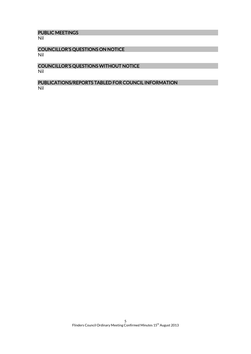## PUBLIC MEETINGS

Nil

#### COUNCILLOR'S QUESTIONS ON NOTICE Nil

#### COUNCILLOR'S QUESTIONS WITHOUT NOTICE Nil

#### PUBLICATIONS/REPORTS TABLED FOR COUNCIL INFORMATION Nil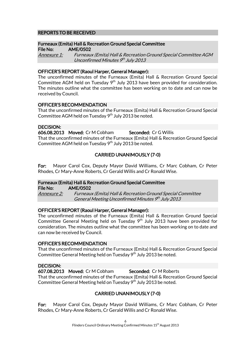#### REPORTS TO BE RECEIVED

#### Furneaux (Emita) Hall & Recreation Ground Special Committee

File No: AME/0502 Annexure 1: Furneaux (Emita) Hall & Recreation Ground Special Committee AGM Unconfirmed Minutes 9th July 2013

#### OFFICER'S REPORT (Raoul Harper, General Manager):

The unconfirmed minutes of the Furneaux (Emita) Hall & Recreation Ground Special Committee AGM held on Tuesday  $9<sup>th</sup>$  July 2013 have been provided for consideration. The minutes outline what the committee has been working on to date and can now be received by Council.

#### OFFICER'S RECOMMENDATION

That the unconfirmed minutes of the Furneaux (Emita) Hall & Recreation Ground Special Committee AGM held on Tuesday  $9<sup>th</sup>$  July 2013 be noted.

#### DECISION:

606.08.2013 Moved: Cr M Cobham Seconded: Cr G Willis That the unconfirmed minutes of the Furneaux (Emita) Hall & Recreation Ground Special Committee AGM held on Tuesday 9<sup>th</sup> July 2013 be noted.

#### CARRIED UNANIMOUSLY (7-0)

For: Mayor Carol Cox, Deputy Mayor David Williams, Cr Marc Cobham, Cr Peter Rhodes, Cr Mary-Anne Roberts, Cr Gerald Willis and Cr Ronald Wise.

#### Furneaux (Emita) Hall & Recreation Ground Special Committee

File No: AME/0502 Annexure 2: Furneaux (Emita) Hall & Recreation Ground Special Committee General Meeting Unconfirmed Minutes 9th July 2013

#### OFFICER'S REPORT (Raoul Harper, General Manager):

The unconfirmed minutes of the Furneaux (Emita) Hall & Recreation Ground Special Committee General Meeting held on Tuesday  $9<sup>th</sup>$  July 2013 have been provided for consideration. The minutes outline what the committee has been working on to date and can now be received by Council.

#### OFFICER'S RECOMMENDATION

That the unconfirmed minutes of the Furneaux (Emita) Hall & Recreation Ground Special Committee General Meeting held on Tuesday 9<sup>th</sup> July 2013 be noted.

#### DECISION:

607.08.2013 Moved: Cr M Cobham Seconded: Cr M Roberts That the unconfirmed minutes of the Furneaux (Emita) Hall & Recreation Ground Special Committee General Meeting held on Tuesday  $9<sup>th</sup>$  July 2013 be noted.

#### CARRIED UNANIMOUSLY (7-0)

For: Mayor Carol Cox, Deputy Mayor David Williams, Cr Marc Cobham, Cr Peter Rhodes, Cr Mary-Anne Roberts, Cr Gerald Willis and Cr Ronald Wise.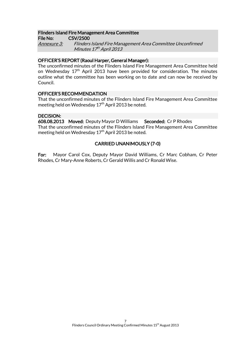#### Flinders Island Fire Management Area Committee

File No: CSV/2500 Annexure 3: Flinders Island Fire Management Area Committee Unconfirmed Minutes 17th April 2013

#### OFFICER'S REPORT (Raoul Harper, General Manager):

The unconfirmed minutes of the Flinders Island Fire Management Area Committee held on Wednesday 17<sup>th</sup> April 2013 have been provided for consideration. The minutes outline what the committee has been working on to date and can now be received by Council.

#### OFFICER'S RECOMMENDATION

That the unconfirmed minutes of the Flinders Island Fire Management Area Committee meeting held on Wednesday  $17<sup>th</sup>$  April 2013 be noted.

#### DECISION:

608.08.2013 Moved: Deputy Mayor D Williams Seconded: Cr P Rhodes That the unconfirmed minutes of the Flinders Island Fire Management Area Committee meeting held on Wednesday  $17<sup>th</sup>$  April 2013 be noted.

#### CARRIED UNANIMOUSLY (7-0)

For: Mayor Carol Cox, Deputy Mayor David Williams, Cr Marc Cobham, Cr Peter Rhodes, Cr Mary-Anne Roberts, Cr Gerald Willis and Cr Ronald Wise.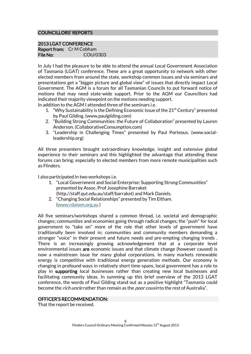#### COUNCILLORS' REPORTS

#### 2013 LGAT CONFERENCE

Report from: Cr M Cobham File No: COU/0303

In July I had the pleasure to be able to attend the annual Local Government Association of Tasmania (LGAT) conference. These are a great opportunity to network with other elected members from around the state, workshop common issues and via seminars and presentations get a "bigger picture and global view" of issues that directly impact Local Government. The AGM is a forum for all Tasmanian Councils to put forward notice of motions that may need state-wide support. Prior to the AGM our Councillors had indicated their majority viewpoint on the motions needing support.

In addition to the AGM I attended three of the seminars i.e.

- 1. "Why Sustainability is the Defining Economic Issue of the  $21<sup>st</sup>$  Century" presented by Paul Gilding. (www.paulgilding.com)
- 2. "Building Strong Communities: the Future of Collaboration" presented by Lauren Anderson. (CollaborativeConsumption.com)
- 3. "Leadership in Challenging Times" presented by Paul Porteous. (www.socialleadership.org)

All three presenters brought extraordinary knowledge, insight and extensive global experience to their seminars and this highlighted the advantage that attending these forums can bring; especially to elected members from more remote municipalities such as Flinders.

I also participated in two workshops i.e.

- 1. "Local Government and Social Enterprise: Supporting Strong Communities" presented by Assoc. Prof Josephine Barraket (http.//staff.qut.edu.au/staff/barraket) and Mark Daniels.
- 2. "Changing Social Relationships" presented by Tim Eltham. [\(www.rdaiwm.org.au](http://www.rdaiwm.org.au/) )

All five seminars/workshops shared a common thread, i.e. societal and demographic changes; communities and economies going through radical changes; the "push" for local government to "take on" more of the role that other levels of government have traditionally been involved in; communities and community members demanding a stronger "voice" in their present and future needs and pre-empting changing trends . There is an increasingly growing acknowledgement that at a corporate level environmental issues are economic issues and that climate change (however caused) is now a mainstream issue for many global corporations. In many markets renewable energy is competitive with traditional energy generation methods. Our economy is changing in profound ways in relatively short time-spans, local government has a role to play in supporting local businesses rather than creating new local businesses and facilitating community ideas. In summing up this brief overview of the 2013 LGAT conference, the words of Paul Gilding stand out as a positive highlight "Tasmania could become the *rich uncle* rather than remain as the *poor cousin* to the rest of Australia".

#### OFFICER'S RECOMMENDATION:

That the report be received.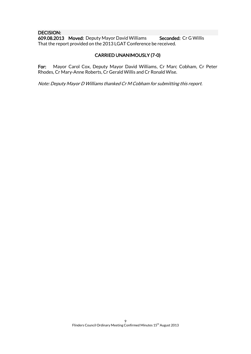#### DECISION:

609.08.2013 Moved: Deputy Mayor David Williams Seconded: Cr G Willis That the report provided on the 2013 LGAT Conference be received.

#### CARRIED UNANIMOUSLY (7-0)

For: Mayor Carol Cox, Deputy Mayor David Williams, Cr Marc Cobham, Cr Peter Rhodes, Cr Mary-Anne Roberts, Cr Gerald Willis and Cr Ronald Wise.

Note: Deputy Mayor D Williams thanked Cr M Cobham for submitting this report.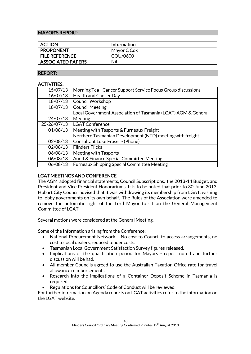#### MAYOR'S REPORT:

| <b>ACTION</b>            | <b>Information</b> |
|--------------------------|--------------------|
| <b>PROPONENT</b>         | Mayor C Cox        |
| <b>FILE REFERENCE</b>    | COU/0600           |
| <b>ASSOCIATED PAPERS</b> | Nil                |

#### REPORT:

#### ACTIVITIES:

| 15/07/13    | Morning Tea - Cancer Support Service Focus Group discussions  |
|-------------|---------------------------------------------------------------|
| 16/07/13    | <b>Health and Cancer Day</b>                                  |
| 18/07/13    | <b>Council Workshop</b>                                       |
| 18/07/13    | <b>Council Meeting</b>                                        |
|             | Local Government Association of Tasmania (LGAT) AGM & General |
| 24/07/13    | Meeting                                                       |
| 25-26/07/13 | <b>LGAT Conference</b>                                        |
| 01/08/13    | Meeting with Tasports & Furneaux Freight                      |
|             | Northern Tasmanian Development (NTD) meeting with freight     |
| 02/08/13    | Consultant Luke Fraser - (Phone)                              |
| 02/08/13    | <b>Flinders Flicks</b>                                        |
| 06/08/13    | Meeting with Tasports                                         |
| 06/08/13    | Audit & Finance Special Committee Meeting                     |
| 06/08/13    | <b>Furneaux Shipping Special Committee Meeting</b>            |
|             |                                                               |

#### LGAT MEETINGS AND CONFERENCE

The AGM adopted financial statements, Council Subscriptions, the 2013-14 Budget, and President and Vice President Honorariums. It is to be noted that prior to 30 June 2013, Hobart City Council advised that it was withdrawing its membership from LGAT, wishing to lobby governments on its own behalf. The Rules of the Association were amended to remove the automatic right of the Lord Mayor to sit on the General Management Committee of LGAT.

Several motions were considered at the General Meeting.

Some of the Information arising from the Conference:

- National Procurement Network No cost to Council to access arrangements, no cost to local dealers, reduced tender costs.
- Tasmanian Local Government Satisfaction Survey figures released.
- Implications of the qualification period for Mayors report noted and further discussion will be had.
- All member Councils agreed to use the Australian Taxation Office rate for travel allowance reimbursements.
- Research into the implications of a Container Deposit Scheme in Tasmania is required.
- Regulations for Councillors' Code of Conduct will be reviewed.

For further information on Agenda reports on LGAT activities refer to the information on the LGAT website.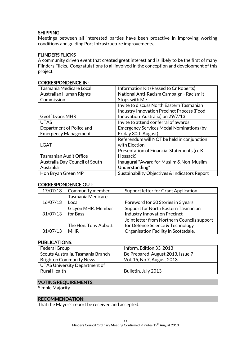#### **SHIPPING**

Meetings between all interested parties have been proactive in improving working conditions and guiding Port Infrastructure improvements.

#### FLINDERS FLICKS

A community driven event that created great interest and is likely to be the first of many Flinders Flicks. Congratulations to all involved in the conception and development of this project.

| Tasmania Medicare Local        | Information Kit (Passed to Cr Roberts)            |
|--------------------------------|---------------------------------------------------|
| <b>Australian Human Rights</b> | National Anti-Racism Campaign - Racism it         |
| Commission                     | Stops with Me                                     |
|                                | Invite to discuss North Eastern Tasmanian         |
|                                | <b>Industry Innovation Precinct Process (Food</b> |
| <b>Geoff Lyons MHR</b>         | Innovation Australia) on 29/7/13                  |
| <b>UTAS</b>                    | Invite to attend conferral of awards              |
| Department of Police and       | <b>Emergency Services Medal Nominations (by</b>   |
| <b>Emergency Management</b>    | Friday 30th August)                               |
|                                | Referendum will NOT be held in conjunction        |
| <b>LGAT</b>                    | with Election                                     |
|                                | Presentation of Financial Statements (cc K)       |
| <b>Tasmanian Audit Office</b>  | Hossack)                                          |
| Australia Day Council of South | Inaugural "Award for Muslim & Non-Muslim          |
| Australia                      | Understanding"                                    |
| Hon Bryan Green MP             | Sustainability Objectives & Indicators Report     |

### CORRESPONDENCE IN:

#### CORRESPONDENCE OUT:

| 17/07/13 | Community member     | Support letter for Grant Application        |
|----------|----------------------|---------------------------------------------|
|          | Tasmania Medicare    |                                             |
| 16/07/13 | Local                | Foreword for 30 Stories in 3 years          |
|          | G Lyon MHR. Member   | Support for North Eastern Tasmanian         |
| 31/07/13 | for Bass             | <b>Industry Innovation Precinct</b>         |
|          |                      | Joint letter from Northern Councils support |
|          | The Hon. Tony Abbott | for Defence Science & Technology            |
| 31/07/13 | <b>MHR</b>           | Organisation Facility in Scottsdale.        |

#### PUBLICATIONS:

| Federal Group                     | Inform, Edition 33, 2013         |
|-----------------------------------|----------------------------------|
| Scouts Australia, Tasmania Branch | Be Prepared August 2013, Issue 7 |
| <b>Brighton Community News</b>    | Vol. 15, No 7, August 2013       |
| UTAS University Department of     |                                  |
| Rural Health                      | Bulletin, July 2013              |

#### VOTING REQUIREMENTS:

Simple Majority

#### RECOMMENDATION:

That the Mayor's report be received and accepted.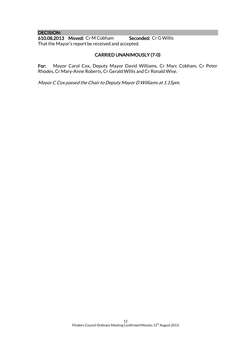#### DECISION: 610.08.2013 Moved: Cr M Cobham Seconded: Cr G Willis That the Mayor's report be received and accepted.

#### CARRIED UNANIMOUSLY (7-0)

For: Mayor Carol Cox, Deputy Mayor David Williams, Cr Marc Cobham, Cr Peter Rhodes, Cr Mary-Anne Roberts, Cr Gerald Willis and Cr Ronald Wise.

Mayor C Cox passed the Chair to Deputy Mayor D Williams at 1.15pm.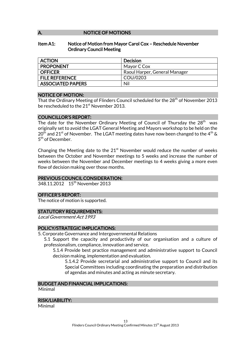#### A. NOTICE OF MOTIONS

#### Item A1: Notice of Motion from Mayor Carol Cox – Reschedule November Ordinary Council Meeting

| <b>ACTION</b>            | Decision                      |
|--------------------------|-------------------------------|
| <b>PROPONENT</b>         | Mayor C Cox                   |
| <b>OFFICER</b>           | Raoul Harper, General Manager |
| <b>FILE REFERENCE</b>    | COU/0203                      |
| <b>ASSOCIATED PAPERS</b> | Nil                           |

#### NOTICE OF MOTION:

That the Ordinary Meeting of Flinders Council scheduled for the 28<sup>th</sup> of November 2013 be rescheduled to the 21<sup>st</sup> November 2013.

#### COUNCILLOR'S REPORT:

The date for the November Ordinary Meeting of Council of Thursday the 28<sup>th</sup> was originally set to avoid the LGAT General Meeting and Mayors workshop to be held on the  $20<sup>th</sup>$  and  $21<sup>st</sup>$  of November. The LGAT meeting dates have now been changed to the 4<sup>th</sup> & 5<sup>th</sup> of December.

Changing the Meeting date to the  $21<sup>st</sup>$  November would reduce the number of weeks between the October and November meetings to 5 weeks and increase the number of weeks between the November and December meetings to 4 weeks giving a more even flow of decision making over those months.

#### PREVIOUS COUNCIL CONSIDERATION:

348.11.2012 15<sup>th</sup> November 2013

#### OFFICER'S REPORT:

The notice of motion is supported.

#### STATUTORY REQUIREMENTS:

Local Government Act 1993

#### POLICY/STRATEGIC IMPLICATIONS:

- 5. Corporate Governance and Intergovernmental Relations
	- 5.1 Support the capacity and productivity of our organisation and a culture of professionalism, compliance, innovation and service.

5.1.4 Provide best practice management and administrative support to Council decision making, implementation and evaluation.

5.1.4.2 Provide secretarial and administrative support to Council and its Special Committees including coordinating the preparation and distribution of agendas and minutes and acting as minute secretary.

#### BUDGET AND FINANCIAL IMPLICATIONS:

Minimal

#### RISK/LIABILITY:

Minimal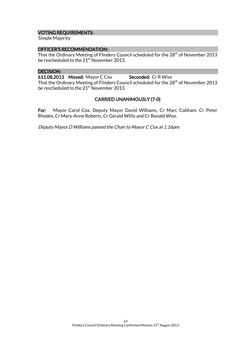#### VOTING REQUIREMENTS:

Simple Majority

#### OFFICER'S RECOMMENDATION:

That the Ordinary Meeting of Flinders Council scheduled for the  $28<sup>th</sup>$  of November 2013 be rescheduled to the 21<sup>st</sup> November 2013.

#### DECISION:

611.08.2013 Moved: Mayor C Cox Seconded: Cr R Wise

That the Ordinary Meeting of Flinders Council scheduled for the 28<sup>th</sup> of November 2013 be rescheduled to the 21<sup>st</sup> November 2013.

#### CARRIED UNANIMOUSLY (7-0)

For: Mayor Carol Cox, Deputy Mayor David Williams, Cr Marc Cobham, Cr Peter Rhodes, Cr Mary-Anne Roberts, Cr Gerald Willis and Cr Ronald Wise.

Deputy Mayor D Williams passed the Chair to Mayor C Cox at 1.16pm.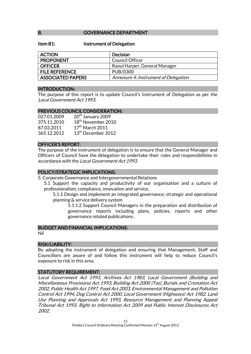#### B. **GOVERNANCE DEPARTMENT**

#### Item B1: Instrument of Delegation

| <b>ACTION</b>            | <b>Decision</b>                      |
|--------------------------|--------------------------------------|
| <b>PROPONENT</b>         | Council Officer                      |
| <b>OFFICER</b>           | Raoul Harper, General Manager        |
| <b>FILE REFERENCE</b>    | PUB/0300                             |
| <b>ASSOCIATED PAPERS</b> | Annexure 4: Instrument of Delegation |

#### INTRODUCTION:

The purpose of this report is to update Council's Instrument of Delegation as per the Local Government Act 1993.

#### PREVIOUS COUNCIL CONSIDERATION:

| 027.01.2009 | 20 <sup>th</sup> January 2009  |
|-------------|--------------------------------|
| 375.11.2010 | 18 <sup>th</sup> November 2010 |
| 87.03.2011  | 17 <sup>th</sup> March 2011    |
| 365.12.2012 | 13 <sup>th</sup> December 2012 |

#### OFFICER'S REPORT:

The purpose of the instrument of delegation is to ensure that the General Manager and Officers of Council have the delegation to undertake their roles and responsibilities in accordance with the Local Government Act 1993.

#### POLICY/STRATEGIC IMPLICATIONS:

5. Corporate Governance and Intergovernmental Relations

- 5.1 Support the capacity and productivity of our organisation and a culture of professionalism, compliance, innovation and service.
	- 5.1.1 Design and implement an integrated governance; strategic and operational planning & service delivery system
		- 5.1.1.2 Support Council Managers in the preparation and distribution of governance reports including plans, policies, reports and other governance related publications.

#### BUDGET AND FINANCIAL IMPLICATIONS:

Nil

#### RISK/LIABILITY:

By adopting the instrument of delegation and ensuring that Management, Staff and Councillors are aware of and follow this instrument will help to reduce Council's exposure to risk in this area.

#### STATUTORY REQUIREMENT:

Local Government Act 1993, Archives Act 1983, Local Government (Building and Miscellaneous Provisions) Act 1993, Building Act 2000 (Tas), Burials and Cremation Act 2002, Public Health Act 1997, Food Act 2003, Environmental Management and Pollution Control Act 1994, Dog Control Act 2000, Local Government (Highways) Act 1982, Land Use Planning and Approvals Act 1993, Resource Management and Planning Appeal Tribunal Act 1993, Right to Information Act 2009 and Public Interest Disclosures Act 2002.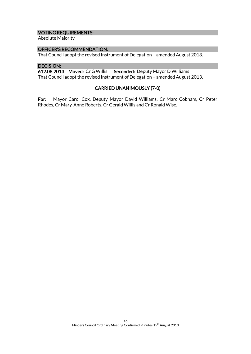#### VOTING REQUIREMENTS:

Absolute Majority

#### OFFICER'S RECOMMENDATION:

That Council adopt the revised Instrument of Delegation – amended August 2013.

#### DECISION:

612.08.2013 Moved: Cr G Willis Seconded: Deputy Mayor D Williams That Council adopt the revised Instrument of Delegation – amended August 2013.

#### CARRIED UNANIMOUSLY (7-0)

For: Mayor Carol Cox, Deputy Mayor David Williams, Cr Marc Cobham, Cr Peter Rhodes, Cr Mary-Anne Roberts, Cr Gerald Willis and Cr Ronald Wise.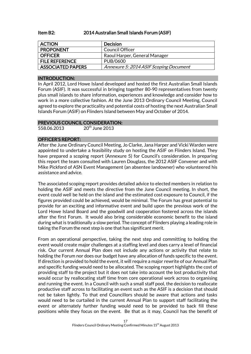#### Item B2: 2014 Australian Small Islands Forum (ASIF)

| <b>ACTION</b>            | <b>Decision</b>                        |
|--------------------------|----------------------------------------|
| <b>PROPONENT</b>         | Council Officer                        |
| <b>OFFICER</b>           | Raoul Harper, General Manager          |
| <b>FILE REFERENCE</b>    | PUB/0600                               |
| <b>ASSOCIATED PAPERS</b> | Annexure 5: 2014 ASIF Scoping Document |

#### INTRODUCTION:

In April 2012, Lord Howe Island developed and hosted the first Australian Small Islands Forum (ASIF). It was successful in bringing together 80-90 representatives from twenty plus small islands to share information, experiences and knowledge and consider how to work in a more collective fashion. At the June 2013 Ordinary Council Meeting, Council agreed to explore the practicality and potential costs of hosting the next Australian Small Islands Forum (ASIF) on Flinders Island between May and October of 2014.

#### PREVIOUS COUNCIL CONSIDERATION:

558.06.2013 20<sup>th</sup> June 2013

#### OFFICER'S REPORT:

After the June Ordinary Council Meeting, Jo Clarke, Jana Harper and Vicki Warden were appointed to undertake a feasibility study on hosting the ASIF on Flinders Island. They have prepared a scoping report (Annexure 5) for Council's consideration. In preparing this report the team consulted with Lauren Douglass, the 2012 ASIF Convener and with Mike Pickford of ASN Event Management (an absentee landowner) who volunteered his assistance and advice.

The associated scoping report provides detailed advice to elected members in relation to holding the ASIF and meets the directive from the June Council meeting. In short, the event could well be held on the island and the estimated cost exposure to Council, if the figures provided could be achieved, would be minimal. The Forum has great potential to provide for an exciting and informative event and build upon the previous work of the Lord Howe Island Board and the goodwill and cooperation fostered across the islands after the first Forum. It would also bring considerable economic benefit to the island during what is traditionally a slow period. The concept of Flinders playing a leading role in taking the Forum the next step is one that has significant merit.

From an operational perspective, taking the next step and committing to holding the event would create major challenges at a staffing level and does carry a level of financial risk. Our current Annual Plan does not include any actions or activity that relate to holding the Forum nor does our budget have any allocation of funds specific to the event. If direction is provided to hold the event, it will require a major rewrite of our Annual Plan and specific funding would need to be allocated. The scoping report highlights the cost of providing staff to the project but it does not take into account the lost productivity that would occur by reallocating staff time from core operational work across to organising and running the event. In a Council with such a small staff pool, the decision to reallocate productive staff across to facilitating an event such as the ASIF is a decision that should not be taken lightly. To that end Councillors should be aware that actions and tasks would need to be curtailed in the current Annual Plan to support staff facilitating the event or alternately further funding would need to be provided to back fill these positions while they focus on the event. Be that as it may, Council has the benefit of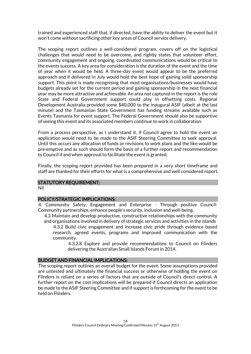trained and experienced staff that, if directed, have the ability to deliver the event but it won't come without sacrificing other key areas of Council service delivery.

The scoping report outlines a well-considered program, covers off on the logistical challenges that would need to be overcome, and rightly states that volunteer effort, community engagement and ongoing, coordinated communications would be critical to the events success. A key area for consideration is the duration of the event and the time of year when it would be held. A three-day event would appear to be the preferred approach and if delivered in July would hold the best hope of gaining solid sponsorship support. This point is made recognising that most organisations/businesses would have budgets already set for the current period and gaining sponsorship in the next financial year may be more attractive and achievable. An area not captured in the report is the role State and Federal Government support could play in offsetting costs. Regional Development Australia provided some \$40,000 to the inaugural ASIF (albeit at the last minute) and the Tasmanian State Government has funding streams available such as Events Tasmania for event support. The Federal Government should also be supportive of seeing this event and its associated members continue to work in collaboration.

From a process perspective, as I understand it, if Council agree to hold the event an application would need to be made to the ASIF Steering Committee to seek approval. Until this occurs any allocation of funds or revisions to work plans and the like would be pre-emptive and as such should form the basis of a further report and recommendation to Council if and when approval to facilitate the event is granted.

Finally, the scoping report provided has been prepared in a very short timeframe and staff are thanked for their efforts for what is a comprehensive and well considered report.

#### STATUTORY REQUIREMENT:

Nil

#### POLICY/STRATEGIC IMPLICATIONS:

4. Community Safety, Engagement and Enterprise - Through positive Council-Community partnerships, enhance people's security, inclusion and well-being.

4.3 Maintain and develop productive, constructive relationships with the community and organisations involved in delivery of strategic services and activities in the islands 4.3.2 Build civic engagement and increase civic pride through evidence based research, agreed events, programs and improved communication with the community.

> 4.3.2.8 Explore and provide recommendations to Council on Flinders delivering the Australian Small Islands Forum in 2014.

#### BUDGET AND FINANCIAL IMPLICATIONS:

The scoping report outlines an overall budget for the event. Some assumptions provided are untested and ultimately the financial success or otherwise of holding the event on Flinders is reliant on a series of factors that are outside of Council's direct control. A further report on the cost implications will be prepared if Council directs an application be made to the ASIF Steering Committee and if support is forthcoming for the event to be held on Flinders.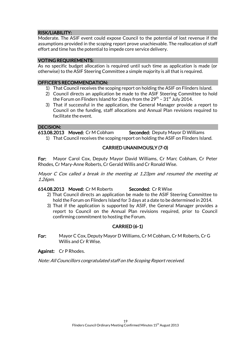#### RISK/LIABILITY:

Moderate. The ASIF event could expose Council to the potential of lost revenue if the assumptions provided in the scoping report prove unachievable. The reallocation of staff effort and time has the potential to impede core service delivery.

#### VOTING REQUIREMENTS:

As no specific budget allocation is required until such time as application is made (or otherwise) to the ASIF Steering Committee a simple majority is all that is required.

#### OFFICER'S RECOMMENDATION:

- 1) That Council receives the scoping report on holding the ASIF on Flinders Island.
- 2) Council directs an application be made to the ASIF Steering Committee to hold the Forum on Flinders Island for 3 days from the 29 $^{\rm th}$  – 31 $^{\rm st}$  July 2014.
- 3) That if successful in the application, the General Manager provide a report to Council on the funding, staff allocations and Annual Plan revisions required to facilitate the event.

#### DECISION:

613.08.2013 Moved: Cr M Cobham Seconded: Deputy Mayor D Williams

1) That Council receives the scoping report on holding the ASIF on Flinders Island.

#### CARRIED UNANIMOUSLY (7-0)

For: Mayor Carol Cox, Deputy Mayor David Williams, Cr Marc Cobham, Cr Peter Rhodes, Cr Mary-Anne Roberts, Cr Gerald Willis and Cr Ronald Wise.

Mayor C Cox called a break in the meeting at 1.23pm and resumed the meeting at 1.26pm.

#### 614.08.2013 Moved: Cr M Roberts Seconded: Cr R Wise

- 2) That Council directs an application be made to the ASIF Steering Committee to hold the Forum on Flinders Island for 3 days at a date to be determined in 2014.
- 3) That if the application is supported by ASIF, the General Manager provides a report to Council on the Annual Plan revisions required, prior to Council confirming commitment to hosting the Forum.

#### CARRIED (6-1)

For: Mayor C Cox, Deputy Mayor D Williams, Cr M Cobham, Cr M Roberts, Cr G Willis and Cr R Wise.

Against: Cr P Rhodes.

Note: All Councillors congratulated staff on the Scoping Report received.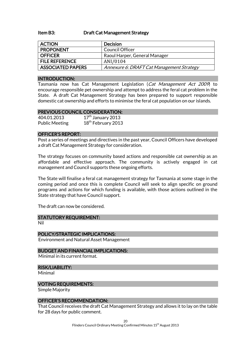#### Item B3: Draft Cat Management Strategy

| <b>ACTION</b>            | <b>Decision</b>                           |  |
|--------------------------|-------------------------------------------|--|
| <b>PROPONENT</b>         | Council Officer                           |  |
| <b>OFFICER</b>           | Raoul Harper, General Manager             |  |
| <b>FILE REFERENCE</b>    | ANI/0104                                  |  |
| <b>ASSOCIATED PAPERS</b> | Annexure 6: DRAFT Cat Management Strategy |  |

#### INTRODUCTION:

Tasmania now has Cat Management Legislation (Cat Management Act 2009) to encourage responsible pet ownership and attempt to address the feral cat problem in the State. A draft Cat Management Strategy has been prepared to support responsible domestic cat ownership and efforts to minimise the feral cat population on our islands.

#### PREVIOUS COUNCIL CONSIDERATION:

| 404.01.2013           | $17th$ January 2013            |
|-----------------------|--------------------------------|
| <b>Public Meeting</b> | 18 <sup>th</sup> February 2013 |

#### OFFICER'S REPORT:

Post a series of meetings and directives in the past year, Council Officers have developed a draft Cat Management Strategy for consideration.

The strategy focuses on community based actions and responsible cat ownership as an affordable and effective approach. The community is actively engaged in cat management and Council supports these ongoing efforts.

The State will finalise a feral cat management strategy for Tasmania at some stage in the coming period and once this is complete Council will seek to align specific on ground programs and actions for which funding is available, with those actions outlined in the State strategy that have Council support.

The draft can now be considered.

#### STATUTORY REQUIREMENT:

Nil

POLICY/STRATEGIC IMPLICATIONS:

Environment and Natural Asset Management

#### BUDGET AND FINANCIAL IMPLICATIONS:

Minimal in its current format.

#### RISK/LIABILITY:

Minimal

#### VOTING REQUIREMENTS:

Simple Majority

#### OFFICER'S RECOMMENDATION:

That Council receives the draft Cat Management Strategy and allows it to lay on the table for 28 days for public comment.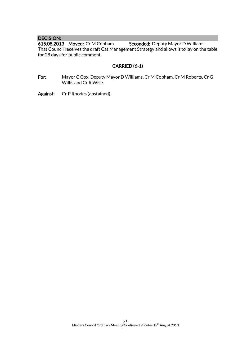DECISION:<br>615.08.2013 Moved: Cr M Cobham Seconded: Deputy Mayor D Williams That Council receives the draft Cat Management Strategy and allows it to lay on the table for 28 days for public comment.

#### CARRIED (6-1)

- For: Mayor C Cox, Deputy Mayor D Williams, Cr M Cobham, Cr M Roberts, Cr G Willis and Cr R Wise.
- Against: Cr P Rhodes (abstained).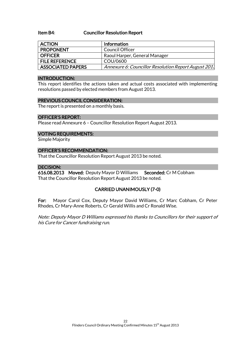#### Item B4: Councillor Resolution Report

| <b>ACTION</b>            | Information                                          |
|--------------------------|------------------------------------------------------|
| <b>PROPONENT</b>         | Council Officer                                      |
| <b>OFFICER</b>           | Raoul Harper, General Manager                        |
| <b>FILE REFERENCE</b>    | COU/0600                                             |
| <b>ASSOCIATED PAPERS</b> | Annexure 6: Councillor Resolution Report August 201. |

#### INTRODUCTION:

This report identifies the actions taken and actual costs associated with implementing resolutions passed by elected members from August 2013.

#### PREVIOUS COUNCIL CONSIDERATION:

The report is presented on a monthly basis.

#### OFFICER'S REPORT:

Please read Annexure 6 – Councillor Resolution Report August 2013.

#### VOTING REQUIREMENTS:

Simple Majority

#### OFFICER'S RECOMMENDATION:

That the Councillor Resolution Report August 2013 be noted.

#### DECISION:

616.08.2013 Moved: Deputy Mayor D Williams Seconded: Cr M Cobham That the Councillor Resolution Report August 2013 be noted.

#### CARRIED UNANIMOUSLY (7-0)

For: Mayor Carol Cox, Deputy Mayor David Williams, Cr Marc Cobham, Cr Peter Rhodes, Cr Mary-Anne Roberts, Cr Gerald Willis and Cr Ronald Wise.

Note: Deputy Mayor D Williams expressed his thanks to Councillors for their support of his Cure for Cancer fundraising run.